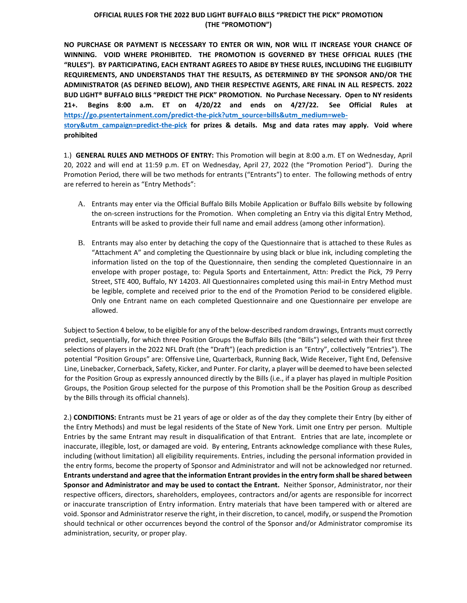## **OFFICIAL RULES FOR THE 2022 BUD LIGHT BUFFALO BILLS "PREDICT THE PICK" PROMOTION (THE "PROMOTION")**

**NO PURCHASE OR PAYMENT IS NECESSARY TO ENTER OR WIN, NOR WILL IT INCREASE YOUR CHANCE OF WINNING. VOID WHERE PROHIBITED. THE PROMOTION IS GOVERNED BY THESE OFFICIAL RULES (THE "RULES"). BY PARTICIPATING, EACH ENTRANT AGREES TO ABIDE BY THESE RULES, INCLUDING THE ELIGIBILITY REQUIREMENTS, AND UNDERSTANDS THAT THE RESULTS, AS DETERMINED BY THE SPONSOR AND/OR THE ADMINISTRATOR (AS DEFINED BELOW), AND THEIR RESPECTIVE AGENTS, ARE FINAL IN ALL RESPECTS. 2022 BUD LIGHT® BUFFALO BILLS "PREDICT THE PICK" PROMOTION. No Purchase Necessary. Open to NY residents 21+. Begins 8:00 a.m. ET on 4/20/22 and ends on 4/27/22. See Official Rules at [https://go.psentertainment.com/predict-the-pick?utm\\_source=bills&utm\\_medium=web](https://go.psentertainment.com/predict-the-pick?utm_source=bills&utm_medium=web-story&utm_campaign=predict-the-pick)[story&utm\\_campaign=predict-the-pick](https://go.psentertainment.com/predict-the-pick?utm_source=bills&utm_medium=web-story&utm_campaign=predict-the-pick) for prizes & details. Msg and data rates may apply. Void where prohibited**

1.) **GENERAL RULES AND METHODS OF ENTRY:** This Promotion will begin at 8:00 a.m. ET on Wednesday, April 20, 2022 and will end at 11:59 p.m. ET on Wednesday, April 27, 2022 (the "Promotion Period"). During the Promotion Period, there will be two methods for entrants ("Entrants") to enter. The following methods of entry are referred to herein as "Entry Methods":

- A. Entrants may enter via the Official Buffalo Bills Mobile Application or Buffalo Bills website by following the on-screen instructions for the Promotion. When completing an Entry via this digital Entry Method, Entrants will be asked to provide their full name and email address (among other information).
- B. Entrants may also enter by detaching the copy of the Questionnaire that is attached to these Rules as "Attachment A" and completing the Questionnaire by using black or blue ink, including completing the information listed on the top of the Questionnaire, then sending the completed Questionnaire in an envelope with proper postage, to: Pegula Sports and Entertainment, Attn: Predict the Pick, 79 Perry Street, STE 400, Buffalo, NY 14203. All Questionnaires completed using this mail-in Entry Method must be legible, complete and received prior to the end of the Promotion Period to be considered eligible. Only one Entrant name on each completed Questionnaire and one Questionnaire per envelope are allowed.

Subject to Section 4 below, to be eligible for any of the below-described random drawings, Entrants must correctly predict, sequentially, for which three Position Groups the Buffalo Bills (the "Bills") selected with their first three selections of players in the 2022 NFL Draft (the "Draft") (each prediction is an "Entry", collectively "Entries"). The potential "Position Groups" are: Offensive Line, Quarterback, Running Back, Wide Receiver, Tight End, Defensive Line, Linebacker, Cornerback, Safety, Kicker, and Punter. For clarity, a player will be deemed to have been selected for the Position Group as expressly announced directly by the Bills (i.e., if a player has played in multiple Position Groups, the Position Group selected for the purpose of this Promotion shall be the Position Group as described by the Bills through its official channels).

2.) **CONDITIONS:** Entrants must be 21 years of age or older as of the day they complete their Entry (by either of the Entry Methods) and must be legal residents of the State of New York. Limit one Entry per person. Multiple Entries by the same Entrant may result in disqualification of that Entrant. Entries that are late, incomplete or inaccurate, illegible, lost, or damaged are void. By entering, Entrants acknowledge compliance with these Rules, including (without limitation) all eligibility requirements. Entries, including the personal information provided in the entry forms, become the property of Sponsor and Administrator and will not be acknowledged nor returned. **Entrants understand and agree that the information Entrant provides in the entry form shall be shared between Sponsor and Administrator and may be used to contact the Entrant.** Neither Sponsor, Administrator, nor their respective officers, directors, shareholders, employees, contractors and/or agents are responsible for incorrect or inaccurate transcription of Entry information. Entry materials that have been tampered with or altered are void. Sponsor and Administrator reserve the right, in their discretion, to cancel, modify, or suspend the Promotion should technical or other occurrences beyond the control of the Sponsor and/or Administrator compromise its administration, security, or proper play.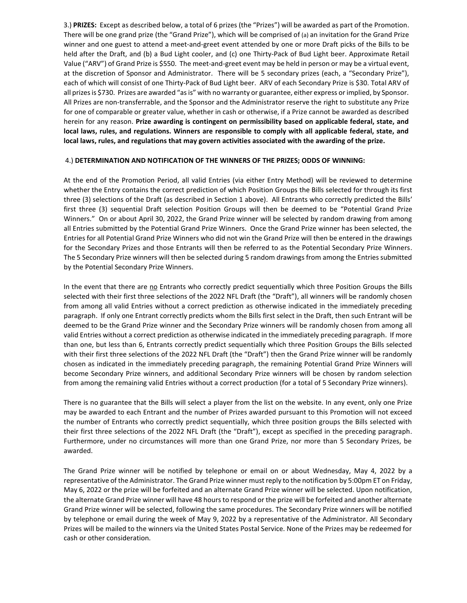3.) **PRIZES:** Except as described below, a total of 6 prizes (the "Prizes") will be awarded as part of the Promotion. There will be one grand prize (the "Grand Prize"), which will be comprised of (a) an invitation for the Grand Prize winner and one guest to attend a meet-and-greet event attended by one or more Draft picks of the Bills to be held after the Draft, and (b) a Bud Light cooler, and (c) one Thirty-Pack of Bud Light beer. Approximate Retail Value ("ARV") of Grand Prize is \$550. The meet-and-greet event may be held in person or may be a virtual event, at the discretion of Sponsor and Administrator. There will be 5 secondary prizes (each, a "Secondary Prize"), each of which will consist of one Thirty-Pack of Bud Light beer. ARV of each Secondary Prize is \$30. Total ARV of all prizes is \$730. Prizes are awarded "as is" with no warranty or guarantee, either express or implied, by Sponsor. All Prizes are non-transferrable, and the Sponsor and the Administrator reserve the right to substitute any Prize for one of comparable or greater value, whether in cash or otherwise, if a Prize cannot be awarded as described herein for any reason. **Prize awarding is contingent on permissibility based on applicable federal, state, and local laws, rules, and regulations. Winners are responsible to comply with all applicable federal, state, and local laws, rules, and regulations that may govern activities associated with the awarding of the prize.**

## 4.) **DETERMINATION AND NOTIFICATION OF THE WINNERS OF THE PRIZES; ODDS OF WINNING:**

At the end of the Promotion Period, all valid Entries (via either Entry Method) will be reviewed to determine whether the Entry contains the correct prediction of which Position Groups the Bills selected for through its first three (3) selections of the Draft (as described in Section 1 above). All Entrants who correctly predicted the Bills' first three (3) sequential Draft selection Position Groups will then be deemed to be "Potential Grand Prize Winners." On or about April 30, 2022, the Grand Prize winner will be selected by random drawing from among all Entries submitted by the Potential Grand Prize Winners. Once the Grand Prize winner has been selected, the Entries for all Potential Grand Prize Winners who did not win the Grand Prize will then be entered in the drawings for the Secondary Prizes and those Entrants will then be referred to as the Potential Secondary Prize Winners. The 5 Secondary Prize winners will then be selected during 5 random drawings from among the Entries submitted by the Potential Secondary Prize Winners.

In the event that there are no Entrants who correctly predict sequentially which three Position Groups the Bills selected with their first three selections of the 2022 NFL Draft (the "Draft"), all winners will be randomly chosen from among all valid Entries without a correct prediction as otherwise indicated in the immediately preceding paragraph. If only one Entrant correctly predicts whom the Bills first select in the Draft, then such Entrant will be deemed to be the Grand Prize winner and the Secondary Prize winners will be randomly chosen from among all valid Entries without a correct prediction as otherwise indicated in the immediately preceding paragraph. If more than one, but less than 6, Entrants correctly predict sequentially which three Position Groups the Bills selected with their first three selections of the 2022 NFL Draft (the "Draft") then the Grand Prize winner will be randomly chosen as indicated in the immediately preceding paragraph, the remaining Potential Grand Prize Winners will become Secondary Prize winners, and additional Secondary Prize winners will be chosen by random selection from among the remaining valid Entries without a correct production (for a total of 5 Secondary Prize winners).

There is no guarantee that the Bills will select a player from the list on the website. In any event, only one Prize may be awarded to each Entrant and the number of Prizes awarded pursuant to this Promotion will not exceed the number of Entrants who correctly predict sequentially, which three position groups the Bills selected with their first three selections of the 2022 NFL Draft (the "Draft"), except as specified in the preceding paragraph. Furthermore, under no circumstances will more than one Grand Prize, nor more than 5 Secondary Prizes, be awarded.

The Grand Prize winner will be notified by telephone or email on or about Wednesday, May 4, 2022 by a representative of the Administrator. The Grand Prize winner must reply to the notification by 5:00pm ET on Friday, May 6, 2022 or the prize will be forfeited and an alternate Grand Prize winner will be selected. Upon notification, the alternate Grand Prize winner will have 48 hours to respond or the prize will be forfeited and another alternate Grand Prize winner will be selected, following the same procedures. The Secondary Prize winners will be notified by telephone or email during the week of May 9, 2022 by a representative of the Administrator. All Secondary Prizes will be mailed to the winners via the United States Postal Service. None of the Prizes may be redeemed for cash or other consideration.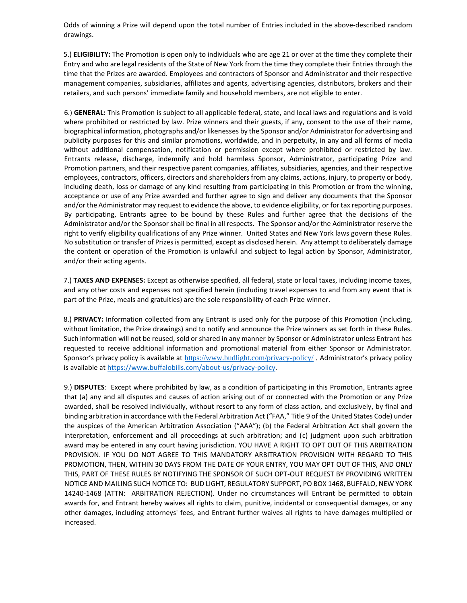Odds of winning a Prize will depend upon the total number of Entries included in the above-described random drawings.

5.) **ELIGIBILITY:** The Promotion is open only to individuals who are age 21 or over at the time they complete their Entry and who are legal residents of the State of New York from the time they complete their Entries through the time that the Prizes are awarded. Employees and contractors of Sponsor and Administrator and their respective management companies, subsidiaries, affiliates and agents, advertising agencies, distributors, brokers and their retailers, and such persons' immediate family and household members, are not eligible to enter.

6.) **GENERAL:** This Promotion is subject to all applicable federal, state, and local laws and regulations and is void where prohibited or restricted by law. Prize winners and their guests, if any, consent to the use of their name, biographical information, photographs and/or likenesses by the Sponsor and/or Administrator for advertising and publicity purposes for this and similar promotions, worldwide, and in perpetuity, in any and all forms of media without additional compensation, notification or permission except where prohibited or restricted by law. Entrants release, discharge, indemnify and hold harmless Sponsor, Administrator, participating Prize and Promotion partners, and their respective parent companies, affiliates, subsidiaries, agencies, and their respective employees, contractors, officers, directors and shareholders from any claims, actions, injury, to property or body, including death, loss or damage of any kind resulting from participating in this Promotion or from the winning, acceptance or use of any Prize awarded and further agree to sign and deliver any documents that the Sponsor and/or the Administrator may request to evidence the above, to evidence eligibility, or for tax reporting purposes. By participating, Entrants agree to be bound by these Rules and further agree that the decisions of the Administrator and/or the Sponsor shall be final in all respects. The Sponsor and/or the Administrator reserve the right to verify eligibility qualifications of any Prize winner. United States and New York laws govern these Rules. No substitution or transfer of Prizes is permitted, except as disclosed herein. Any attempt to deliberately damage the content or operation of the Promotion is unlawful and subject to legal action by Sponsor, Administrator, and/or their acting agents.

7.) **TAXES AND EXPENSES:** Except as otherwise specified, all federal, state or local taxes, including income taxes, and any other costs and expenses not specified herein (including travel expenses to and from any event that is part of the Prize, meals and gratuities) are the sole responsibility of each Prize winner.

8.) **PRIVACY:** Information collected from any Entrant is used only for the purpose of this Promotion (including, without limitation, the Prize drawings) and to notify and announce the Prize winners as set forth in these Rules. Such information will not be reused, sold or shared in any manner by Sponsor or Administrator unless Entrant has requested to receive additional information and promotional material from either Sponsor or Administrator. Sponsor's privacy policy is available at <https://www.budlight.com/privacy-policy/> . Administrator's privacy policy is available at [https://www.buffalobills.com/about-us/privacy-policy.](https://www.buffalobills.com/about-us/privacy-policy) 

9.) **DISPUTES**: Except where prohibited by law, as a condition of participating in this Promotion, Entrants agree that (a) any and all disputes and causes of action arising out of or connected with the Promotion or any Prize awarded, shall be resolved individually, without resort to any form of class action, and exclusively, by final and binding arbitration in accordance with the Federal Arbitration Act ("FAA," Title 9 of the United States Code) under the auspices of the American Arbitration Association ("AAA"); (b) the Federal Arbitration Act shall govern the interpretation, enforcement and all proceedings at such arbitration; and (c) judgment upon such arbitration award may be entered in any court having jurisdiction. YOU HAVE A RIGHT TO OPT OUT OF THIS ARBITRATION PROVISION. IF YOU DO NOT AGREE TO THIS MANDATORY ARBITRATION PROVISION WITH REGARD TO THIS PROMOTION, THEN, WITHIN 30 DAYS FROM THE DATE OF YOUR ENTRY, YOU MAY OPT OUT OF THIS, AND ONLY THIS, PART OF THESE RULES BY NOTIFYING THE SPONSOR OF SUCH OPT-OUT REQUEST BY PROVIDING WRITTEN NOTICE AND MAILING SUCH NOTICE TO: BUD LIGHT, REGULATORY SUPPORT, PO BOX 1468, BUFFALO, NEW YORK 14240-1468 (ATTN: ARBITRATION REJECTION). Under no circumstances will Entrant be permitted to obtain awards for, and Entrant hereby waives all rights to claim, punitive, incidental or consequential damages, or any other damages, including attorneys' fees, and Entrant further waives all rights to have damages multiplied or increased.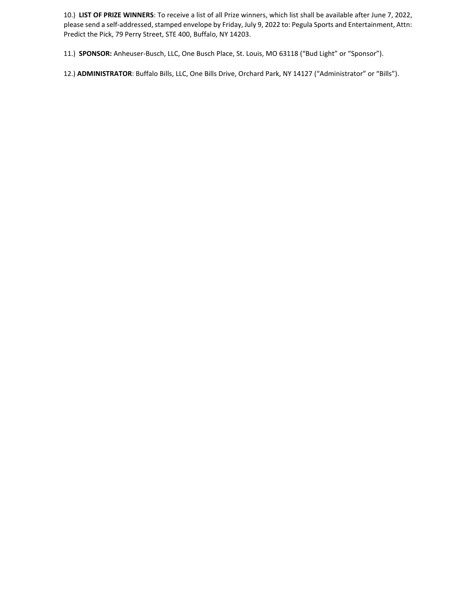10.) **LIST OF PRIZE WINNERS**: To receive a list of all Prize winners, which list shall be available after June 7, 2022, please send a self-addressed, stamped envelope by Friday, July 9, 2022 to: Pegula Sports and Entertainment, Attn: Predict the Pick, 79 Perry Street, STE 400, Buffalo, NY 14203.

11.) **SPONSOR:** Anheuser-Busch, LLC, One Busch Place, St. Louis, MO 63118 ("Bud Light" or "Sponsor").

12.) **ADMINISTRATOR**: Buffalo Bills, LLC, One Bills Drive, Orchard Park, NY 14127 ("Administrator" or "Bills").